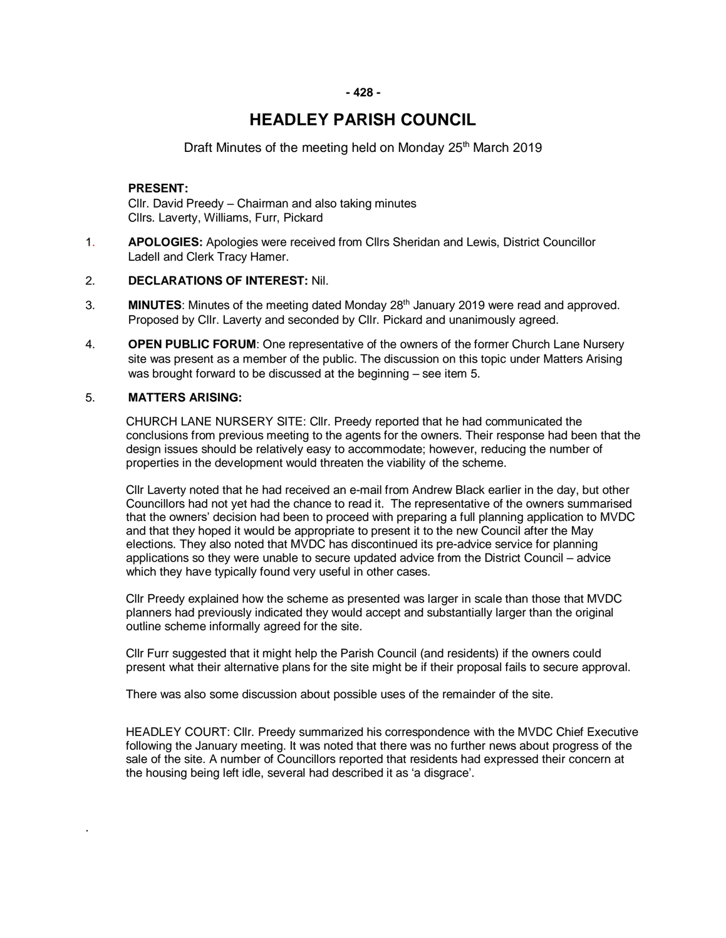# **HEADLEY PARISH COUNCIL**

# Draft Minutes of the meeting held on Monday 25<sup>th</sup> March 2019

# **PRESENT:**

Cllr. David Preedy – Chairman and also taking minutes Cllrs. Laverty, Williams, Furr, Pickard

1. **APOLOGIES:** Apologies were received from Cllrs Sheridan and Lewis, District Councillor Ladell and Clerk Tracy Hamer.

## 2. **DECLARATIONS OF INTEREST:** Nil.

- 3. **MINUTES**: Minutes of the meeting dated Monday 28<sup>th</sup> January 2019 were read and approved. Proposed by Cllr. Laverty and seconded by Cllr. Pickard and unanimously agreed.
- 4. **OPEN PUBLIC FORUM**: One representative of the owners of the former Church Lane Nursery site was present as a member of the public. The discussion on this topic under Matters Arising was brought forward to be discussed at the beginning – see item 5.

#### 5. **MATTERS ARISING:**

.

CHURCH LANE NURSERY SITE: Cllr. Preedy reported that he had communicated the conclusions from previous meeting to the agents for the owners. Their response had been that the design issues should be relatively easy to accommodate; however, reducing the number of properties in the development would threaten the viability of the scheme.

Cllr Laverty noted that he had received an e-mail from Andrew Black earlier in the day, but other Councillors had not yet had the chance to read it. The representative of the owners summarised that the owners' decision had been to proceed with preparing a full planning application to MVDC and that they hoped it would be appropriate to present it to the new Council after the May elections. They also noted that MVDC has discontinued its pre-advice service for planning applications so they were unable to secure updated advice from the District Council – advice which they have typically found very useful in other cases.

Cllr Preedy explained how the scheme as presented was larger in scale than those that MVDC planners had previously indicated they would accept and substantially larger than the original outline scheme informally agreed for the site.

Cllr Furr suggested that it might help the Parish Council (and residents) if the owners could present what their alternative plans for the site might be if their proposal fails to secure approval.

There was also some discussion about possible uses of the remainder of the site.

HEADLEY COURT: Cllr. Preedy summarized his correspondence with the MVDC Chief Executive following the January meeting. It was noted that there was no further news about progress of the sale of the site. A number of Councillors reported that residents had expressed their concern at the housing being left idle, several had described it as 'a disgrace'.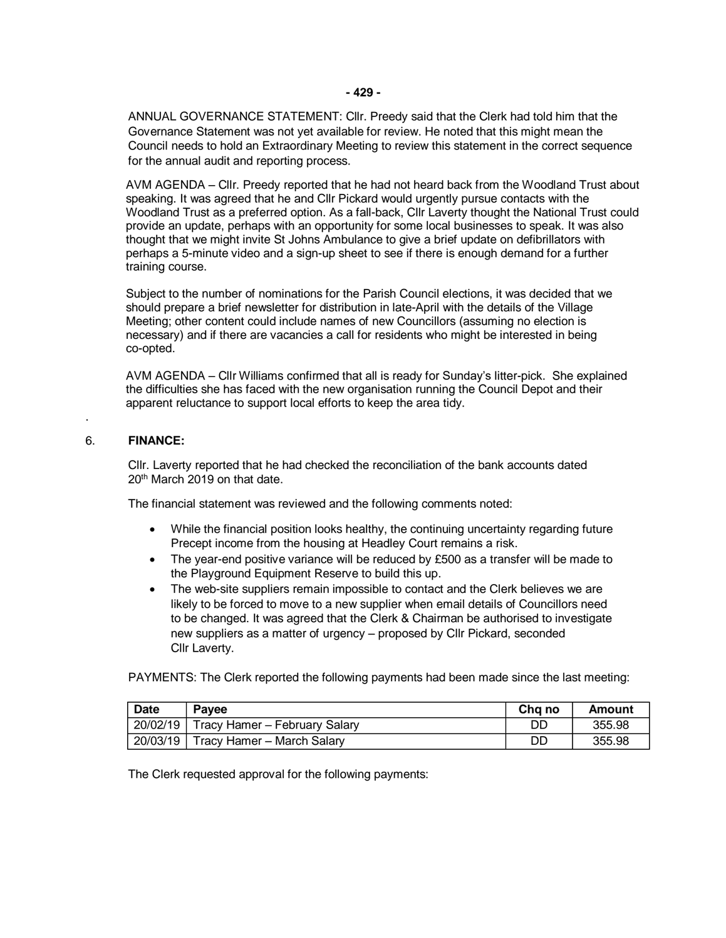ANNUAL GOVERNANCE STATEMENT: Cllr. Preedy said that the Clerk had told him that the Governance Statement was not yet available for review. He noted that this might mean the Council needs to hold an Extraordinary Meeting to review this statement in the correct sequence for the annual audit and reporting process.

AVM AGENDA – Cllr. Preedy reported that he had not heard back from the Woodland Trust about speaking. It was agreed that he and Cllr Pickard would urgently pursue contacts with the Woodland Trust as a preferred option. As a fall-back, Cllr Laverty thought the National Trust could provide an update, perhaps with an opportunity for some local businesses to speak. It was also thought that we might invite St Johns Ambulance to give a brief update on defibrillators with perhaps a 5-minute video and a sign-up sheet to see if there is enough demand for a further training course.

Subject to the number of nominations for the Parish Council elections, it was decided that we should prepare a brief newsletter for distribution in late-April with the details of the Village Meeting; other content could include names of new Councillors (assuming no election is necessary) and if there are vacancies a call for residents who might be interested in being co-opted.

AVM AGENDA – Cllr Williams confirmed that all is ready for Sunday's litter-pick. She explained the difficulties she has faced with the new organisation running the Council Depot and their apparent reluctance to support local efforts to keep the area tidy.

## 6. **FINANCE:**

.

Cllr. Laverty reported that he had checked the reconciliation of the bank accounts dated 20th March 2019 on that date.

The financial statement was reviewed and the following comments noted:

- While the financial position looks healthy, the continuing uncertainty regarding future Precept income from the housing at Headley Court remains a risk.
- The year-end positive variance will be reduced by £500 as a transfer will be made to the Playground Equipment Reserve to build this up.
- The web-site suppliers remain impossible to contact and the Clerk believes we are likely to be forced to move to a new supplier when email details of Councillors need to be changed. It was agreed that the Clerk & Chairman be authorised to investigate new suppliers as a matter of urgency – proposed by Cllr Pickard, seconded Cllr Laverty.

PAYMENTS: The Clerk reported the following payments had been made since the last meeting:

| Date | Pavee                                    | Cha no | Amount |
|------|------------------------------------------|--------|--------|
|      | 20/02/19   Tracy Hamer - February Salary | DD     | 355.98 |
|      | 20/03/19 Tracy Hamer - March Salary      | DD     | 355.98 |

The Clerk requested approval for the following payments: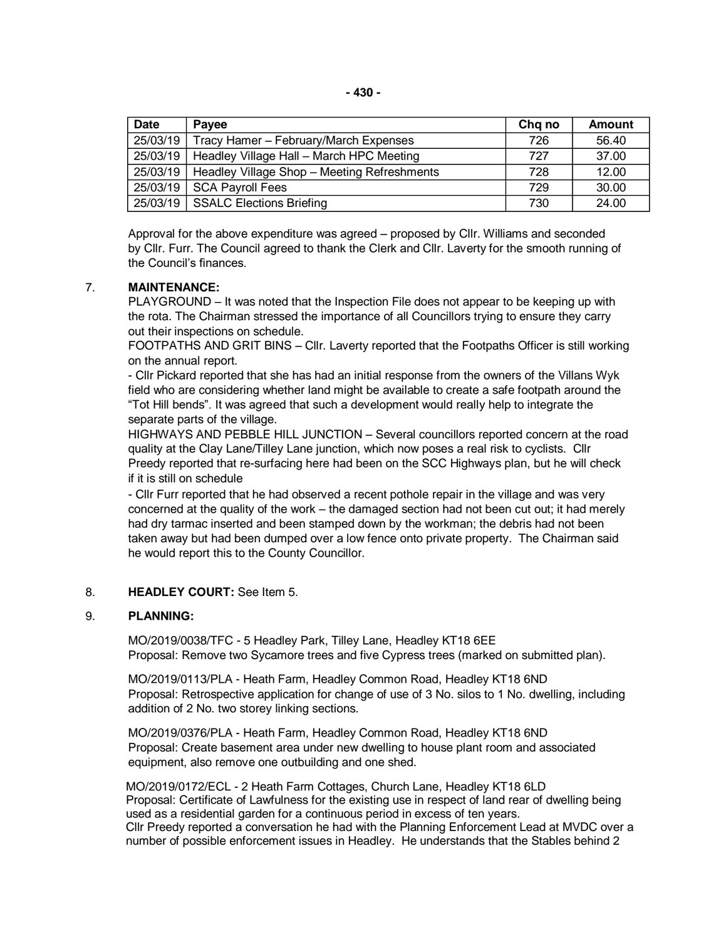| Date     | Payee                                       | Chg no | Amount |
|----------|---------------------------------------------|--------|--------|
| 25/03/19 | Tracy Hamer - February/March Expenses       | 726    | 56.40  |
| 25/03/19 | Headley Village Hall - March HPC Meeting    | 727    | 37.00  |
| 25/03/19 | Headley Village Shop - Meeting Refreshments | 728    | 12.00  |
|          | $25/03/19$ SCA Payroll Fees                 | 729    | 30.00  |
|          | 25/03/19   SSALC Elections Briefing         | 730    | 24.00  |

Approval for the above expenditure was agreed – proposed by Cllr. Williams and seconded by Cllr. Furr. The Council agreed to thank the Clerk and Cllr. Laverty for the smooth running of the Council's finances.

# 7. **MAINTENANCE:**

PLAYGROUND – It was noted that the Inspection File does not appear to be keeping up with the rota. The Chairman stressed the importance of all Councillors trying to ensure they carry out their inspections on schedule.

FOOTPATHS AND GRIT BINS – Cllr. Laverty reported that the Footpaths Officer is still working on the annual report.

- Cllr Pickard reported that she has had an initial response from the owners of the Villans Wyk field who are considering whether land might be available to create a safe footpath around the "Tot Hill bends". It was agreed that such a development would really help to integrate the separate parts of the village.

HIGHWAYS AND PEBBLE HILL JUNCTION – Several councillors reported concern at the road quality at the Clay Lane/Tilley Lane junction, which now poses a real risk to cyclists. Cllr Preedy reported that re-surfacing here had been on the SCC Highways plan, but he will check if it is still on schedule

- Cllr Furr reported that he had observed a recent pothole repair in the village and was very concerned at the quality of the work – the damaged section had not been cut out; it had merely had dry tarmac inserted and been stamped down by the workman; the debris had not been taken away but had been dumped over a low fence onto private property. The Chairman said he would report this to the County Councillor.

# 8. **HEADLEY COURT:** See Item 5.

## 9. **PLANNING:**

MO/2019/0038/TFC - 5 Headley Park, Tilley Lane, Headley KT18 6EE Proposal: Remove two Sycamore trees and five Cypress trees (marked on submitted plan).

MO/2019/0113/PLA - Heath Farm, Headley Common Road, Headley KT18 6ND Proposal: Retrospective application for change of use of 3 No. silos to 1 No. dwelling, including addition of 2 No. two storey linking sections.

MO/2019/0376/PLA - Heath Farm, Headley Common Road, Headley KT18 6ND Proposal: Create basement area under new dwelling to house plant room and associated equipment, also remove one outbuilding and one shed.

MO/2019/0172/ECL - 2 Heath Farm Cottages, Church Lane, Headley KT18 6LD Proposal: Certificate of Lawfulness for the existing use in respect of land rear of dwelling being used as a residential garden for a continuous period in excess of ten years. Cllr Preedy reported a conversation he had with the Planning Enforcement Lead at MVDC over a number of possible enforcement issues in Headley. He understands that the Stables behind 2